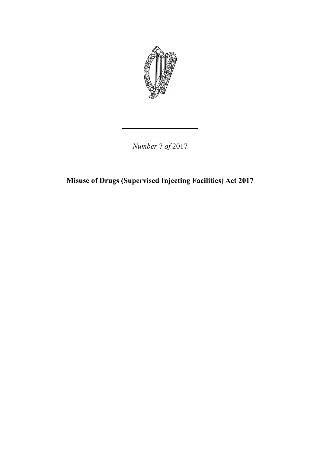

*Number* 7 *of* 2017

**Misuse of Drugs (Supervised Injecting Facilities) Act 2017**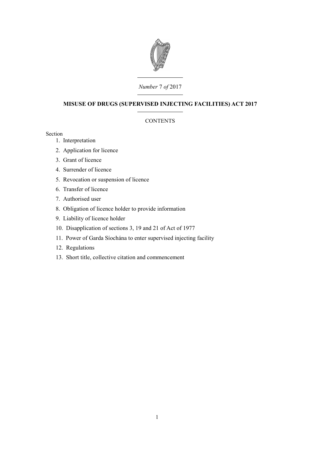

# *Number* 7 *of* 2017

## **MISUSE OF DRUGS (SUPERVISED INJECTING FACILITIES) ACT 2017**

## **CONTENTS**

### Section

- 1. [Interpretation](#page-4-0)
- 2. [Application for licence](#page-4-1)
- 3. [Grant of licence](#page-5-0)
- 4. [Surrender of licence](#page-6-1)
- 5. [Revocation or suspension of licence](#page-6-0)
- 6. [Transfer of licence](#page-7-2)
- 7. [Authorised user](#page-7-1)
- 8. [Obligation of licence holder to provide information](#page-7-0)
- 9. [Liability of licence holder](#page-8-3)
- 10. [Disapplication of sections 3, 19 and 21 of Act of 1977](#page-8-2)
- 11. [Power of Garda Síochána to enter supervised injecting facility](#page-8-1)
- 12. [Regulations](#page-8-0)
- 13. [Short title, collective citation and commencement](#page-9-0)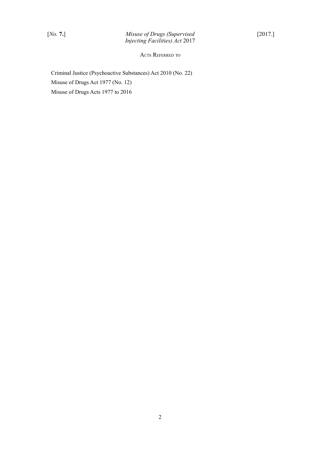ACTS REFERRED TO

Criminal Justice (Psychoactive Substances) Act 2010 (No. 22) Misuse of Drugs Act 1977 (No. 12) Misuse of Drugs Acts 1977 to 2016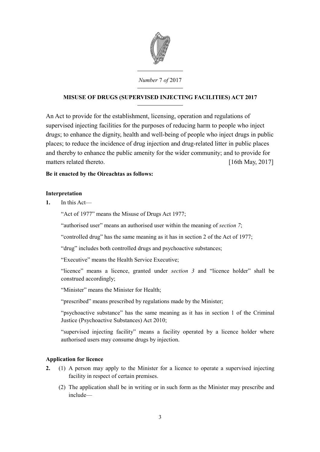

# **MISUSE OF DRUGS (SUPERVISED INJECTING FACILITIES) ACT 2017**

An Act to provide for the establishment, licensing, operation and regulations of supervised injecting facilities for the purposes of reducing harm to people who inject drugs; to enhance the dignity, health and well-being of people who inject drugs in public places; to reduce the incidence of drug injection and drug-related litter in public places and thereby to enhance the public amenity for the wider community; and to provide for matters related thereto. [16th May, 2017]

## **Be it enacted by the Oireachtas as follows:**

## <span id="page-4-0"></span>**Interpretation**

**1.** In this Act—

"Act of 1977" means the Misuse of Drugs Act 1977;

"authorised user" means an authorised user within the meaning of *section [7](#page-7-3)*;

"controlled drug" has the same meaning as it has in section 2 of the Act of 1977;

"drug" includes both controlled drugs and psychoactive substances;

"Executive" means the Health Service Executive;

"licence" means a licence, granted under *section [3](#page-5-1)* and "licence holder" shall be construed accordingly;

"Minister" means the Minister for Health;

"prescribed" means prescribed by regulations made by the Minister;

"psychoactive substance" has the same meaning as it has in section 1 of the Criminal Justice (Psychoactive Substances) Act 2010;

"supervised injecting facility" means a facility operated by a licence holder where authorised users may consume drugs by injection.

### <span id="page-4-1"></span>**Application for licence**

- <span id="page-4-2"></span>**2.** (1) A person may apply to the Minister for a licence to operate a supervised injecting facility in respect of certain premises.
	- (2) The application shall be in writing or in such form as the Minister may prescribe and include—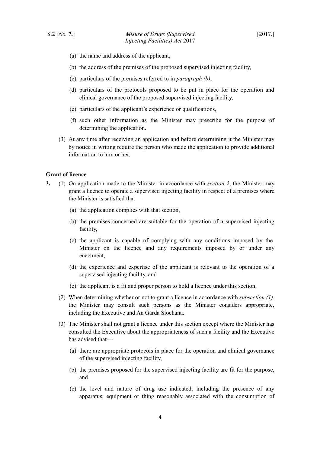- (a) the name and address of the applicant,
- <span id="page-5-3"></span>(b) the address of the premises of the proposed supervised injecting facility,
- (c) particulars of the premises referred to in *paragraph [\(b\)](#page-5-3)*,
- (d) particulars of the protocols proposed to be put in place for the operation and clinical governance of the proposed supervised injecting facility,
- (e) particulars of the applicant's experience or qualifications,
- (f) such other information as the Minister may prescribe for the purpose of determining the application.
- (3) At any time after receiving an application and before determining it the Minister may by notice in writing require the person who made the application to provide additional information to him or her.

### <span id="page-5-0"></span>**Grant of licence**

- <span id="page-5-6"></span><span id="page-5-5"></span><span id="page-5-4"></span><span id="page-5-2"></span><span id="page-5-1"></span>**3.** (1) On application made to the Minister in accordance with *section [2](#page-4-2)*, the Minister may grant a licence to operate a supervised injecting facility in respect of a premises where the Minister is satisfied that—
	- (a) the application complies with that section,
	- (b) the premises concerned are suitable for the operation of a supervised injecting facility,
	- (c) the applicant is capable of complying with any conditions imposed by the Minister on the licence and any requirements imposed by or under any enactment,
	- (d) the experience and expertise of the applicant is relevant to the operation of a supervised injecting facility, and
	- (e) the applicant is a fit and proper person to hold a licence under this section.
	- (2) When determining whether or not to grant a licence in accordance with *subsection [\(1\)](#page-5-2)*, the Minister may consult such persons as the Minister considers appropriate, including the Executive and An Garda Síochána.
	- (3) The Minister shall not grant a licence under this section except where the Minister has consulted the Executive about the appropriateness of such a facility and the Executive has advised that—
		- (a) there are appropriate protocols in place for the operation and clinical governance of the supervised injecting facility,
		- (b) the premises proposed for the supervised injecting facility are fit for the purpose, and
		- (c) the level and nature of drug use indicated, including the presence of any apparatus, equipment or thing reasonably associated with the consumption of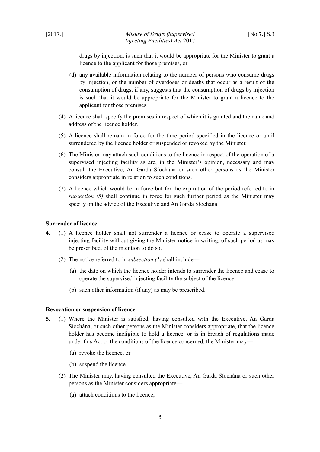drugs by injection, is such that it would be appropriate for the Minister to grant a licence to the applicant for those premises, or

- (d) any available information relating to the number of persons who consume drugs by injection, or the number of overdoses or deaths that occur as a result of the consumption of drugs, if any, suggests that the consumption of drugs by injection is such that it would be appropriate for the Minister to grant a licence to the applicant for those premises.
- (4) A licence shall specify the premises in respect of which it is granted and the name and address of the licence holder.
- <span id="page-6-3"></span>(5) A licence shall remain in force for the time period specified in the licence or until surrendered by the licence holder or suspended or revoked by the Minister.
- <span id="page-6-6"></span>(6) The Minister may attach such conditions to the licence in respect of the operation of a supervised injecting facility as are, in the Minister's opinion, necessary and may consult the Executive, An Garda Síochána or such other persons as the Minister considers appropriate in relation to such conditions.
- (7) A licence which would be in force but for the expiration of the period referred to in *subsection [\(5\)](#page-6-3)* shall continue in force for such further period as the Minister may specify on the advice of the Executive and An Garda Síochána.

#### <span id="page-6-1"></span>**Surrender of licence**

- <span id="page-6-2"></span>**4.** (1) A licence holder shall not surrender a licence or cease to operate a supervised injecting facility without giving the Minister notice in writing, of such period as may be prescribed, of the intention to do so.
	- (2) The notice referred to in *subsection [\(1\)](#page-6-2)* shall include—
		- (a) the date on which the licence holder intends to surrender the licence and cease to operate the supervised injecting facility the subject of the licence,
		- (b) such other information (if any) as may be prescribed.

#### <span id="page-6-0"></span>**Revocation or suspension of licence**

- <span id="page-6-5"></span><span id="page-6-4"></span>**5.** (1) Where the Minister is satisfied, having consulted with the Executive, An Garda Síochána, or such other persons as the Minister considers appropriate, that the licence holder has become ineligible to hold a licence, or is in breach of regulations made under this Act or the conditions of the licence concerned, the Minister may—
	- (a) revoke the licence, or
	- (b) suspend the licence.
	- (2) The Minister may, having consulted the Executive, An Garda Síochána or such other persons as the Minister considers appropriate—
		- (a) attach conditions to the licence,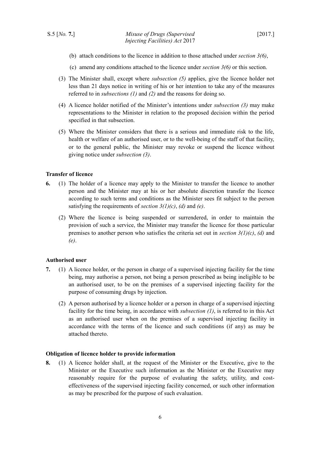- (b) attach conditions to the licence in addition to those attached under *section [3](#page-5-1)[\(6\)](#page-6-6)*,
- (c) amend any conditions attached to the licence under *section [3](#page-5-1)[\(6\)](#page-6-6)* or this section.
- <span id="page-7-5"></span>(3) The Minister shall, except where *subsection [\(5\)](#page-7-6)* applies, give the licence holder not less than 21 days notice in writing of his or her intention to take any of the measures referred to in *subsections [\(1\)](#page-6-5)* and *[\(2\)](#page-6-4)* and the reasons for doing so.
- (4) A licence holder notified of the Minister's intentions under *subsection [\(3\)](#page-7-5)* may make representations to the Minister in relation to the proposed decision within the period specified in that subsection.
- <span id="page-7-6"></span>(5) Where the Minister considers that there is a serious and immediate risk to the life, health or welfare of an authorised user, or to the well-being of the staff of that facility, or to the general public, the Minister may revoke or suspend the licence without giving notice under *subsection [\(3\)](#page-7-5)*.

### <span id="page-7-2"></span>**Transfer of licence**

- **6.** (1) The holder of a licence may apply to the Minister to transfer the licence to another person and the Minister may at his or her absolute discretion transfer the licence according to such terms and conditions as the Minister sees fit subject to the person satisfying the requirements of *section [3](#page-5-1)[\(1\)](#page-5-2)[\(c\)](#page-5-6)*, *[\(d\)](#page-5-5)* and *[\(e\)](#page-5-4)*.
	- (2) Where the licence is being suspended or surrendered, in order to maintain the provision of such a service, the Minister may transfer the licence for those particular premises to another person who satisfies the criteria set out in *section [3](#page-5-1)[\(1\)](#page-5-2)[\(c\)](#page-5-6)*, *[\(d\)](#page-5-5)* and *[\(e\)](#page-5-4)*.

#### <span id="page-7-1"></span>**Authorised user**

- <span id="page-7-4"></span><span id="page-7-3"></span>**7.** (1) A licence holder, or the person in charge of a supervised injecting facility for the time being, may authorise a person, not being a person prescribed as being ineligible to be an authorised user, to be on the premises of a supervised injecting facility for the purpose of consuming drugs by injection.
	- (2) A person authorised by a licence holder or a person in charge of a supervised injecting facility for the time being, in accordance with *subsection [\(1\)](#page-7-4)*, is referred to in this Act as an authorised user when on the premises of a supervised injecting facility in accordance with the terms of the licence and such conditions (if any) as may be attached thereto.

#### <span id="page-7-0"></span>**Obligation of licence holder to provide information**

<span id="page-7-7"></span>**8.** (1) A licence holder shall, at the request of the Minister or the Executive, give to the Minister or the Executive such information as the Minister or the Executive may reasonably require for the purpose of evaluating the safety, utility, and costeffectiveness of the supervised injecting facility concerned, or such other information as may be prescribed for the purpose of such evaluation.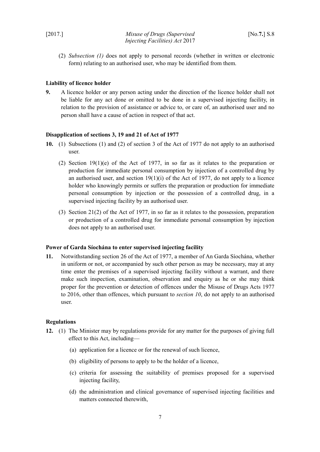(2) *Subsection [\(1\)](#page-7-7)* does not apply to personal records (whether in written or electronic form) relating to an authorised user, who may be identified from them.

### <span id="page-8-3"></span>**Liability of licence holder**

**9.** A licence holder or any person acting under the direction of the licence holder shall not be liable for any act done or omitted to be done in a supervised injecting facility, in relation to the provision of assistance or advice to, or care of, an authorised user and no person shall have a cause of action in respect of that act.

#### <span id="page-8-2"></span>**Disapplication of sections 3, 19 and 21 of Act of 1977**

- <span id="page-8-4"></span>**10.** (1) Subsections (1) and (2) of section 3 of the Act of 1977 do not apply to an authorised user.
	- (2) Section 19(1)(e) of the Act of 1977, in so far as it relates to the preparation or production for immediate personal consumption by injection of a controlled drug by an authorised user, and section  $19(1)(i)$  of the Act of 1977, do not apply to a licence holder who knowingly permits or suffers the preparation or production for immediate personal consumption by injection or the possession of a controlled drug, in a supervised injecting facility by an authorised user.
	- (3) Section 21(2) of the Act of 1977, in so far as it relates to the possession, preparation or production of a controlled drug for immediate personal consumption by injection does not apply to an authorised user.

#### <span id="page-8-1"></span>**Power of Garda Síochána to enter supervised injecting facility**

**11.** Notwithstanding section 26 of the Act of 1977, a member of An Garda Síochána, whether in uniform or not, or accompanied by such other person as may be necessary, may at any time enter the premises of a supervised injecting facility without a warrant, and there make such inspection, examination, observation and enquiry as he or she may think proper for the prevention or detection of offences under the Misuse of Drugs Acts 1977 to 2016, other than offences, which pursuant to *section [10](#page-8-4)*, do not apply to an authorised user.

### <span id="page-8-0"></span>**Regulations**

- **12.** (1) The Minister may by regulations provide for any matter for the purposes of giving full effect to this Act, including—
	- (a) application for a licence or for the renewal of such licence,
	- (b) eligibility of persons to apply to be the holder of a licence,
	- (c) criteria for assessing the suitability of premises proposed for a supervised injecting facility,
	- (d) the administration and clinical governance of supervised injecting facilities and matters connected therewith,